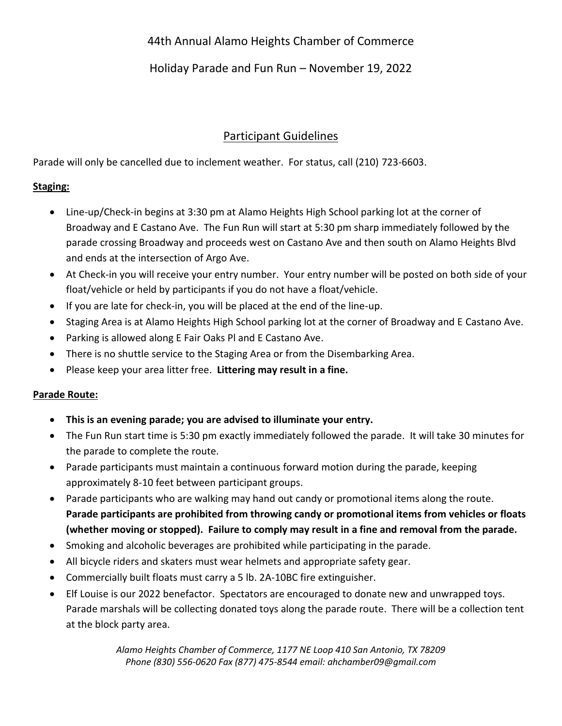# 44th Annual Alamo Heights Chamber of Commerce

## Holiday Parade and Fun Run – November 19, 2022

# Participant Guidelines

Parade will only be cancelled due to inclement weather. For status, call (210) 723-6603.

#### **Staging:**

- Line-up/Check-in begins at 3:30 pm at Alamo Heights High School parking lot at the corner of Broadway and E Castano Ave. The Fun Run will start at 5:30 pm sharp immediately followed by the parade crossing Broadway and proceeds west on Castano Ave and then south on Alamo Heights Blvd and ends at the intersection of Argo Ave.
- At Check-in you will receive your entry number. Your entry number will be posted on both side of your float/vehicle or held by participants if you do not have a float/vehicle.
- If you are late for check-in, you will be placed at the end of the line-up.
- Staging Area is at Alamo Heights High School parking lot at the corner of Broadway and E Castano Ave.
- Parking is allowed along E Fair Oaks Pl and E Castano Ave.
- There is no shuttle service to the Staging Area or from the Disembarking Area.
- Please keep your area litter free. **Littering may result in a fine.**

#### **Parade Route:**

- **This is an evening parade; you are advised to illuminate your entry.**
- The Fun Run start time is 5:30 pm exactly immediately followed the parade. It will take 30 minutes for the parade to complete the route.
- Parade participants must maintain a continuous forward motion during the parade, keeping approximately 8-10 feet between participant groups.
- Parade participants who are walking may hand out candy or promotional items along the route. **Parade participants are prohibited from throwing candy or promotional items from vehicles or floats (whether moving or stopped). Failure to comply may result in a fine and removal from the parade.**
- Smoking and alcoholic beverages are prohibited while participating in the parade.
- All bicycle riders and skaters must wear helmets and appropriate safety gear.
- Commercially built floats must carry a 5 lb. 2A-10BC fire extinguisher.
- Elf Louise is our 2022 benefactor. Spectators are encouraged to donate new and unwrapped toys. Parade marshals will be collecting donated toys along the parade route. There will be a collection tent at the block party area.

*Alamo Heights Chamber of Commerce, 1177 NE Loop 410 San Antonio, TX 78209 Phone (830) 556-0620 Fax (877) 475-8544 email: ahchamber09@gmail.com*